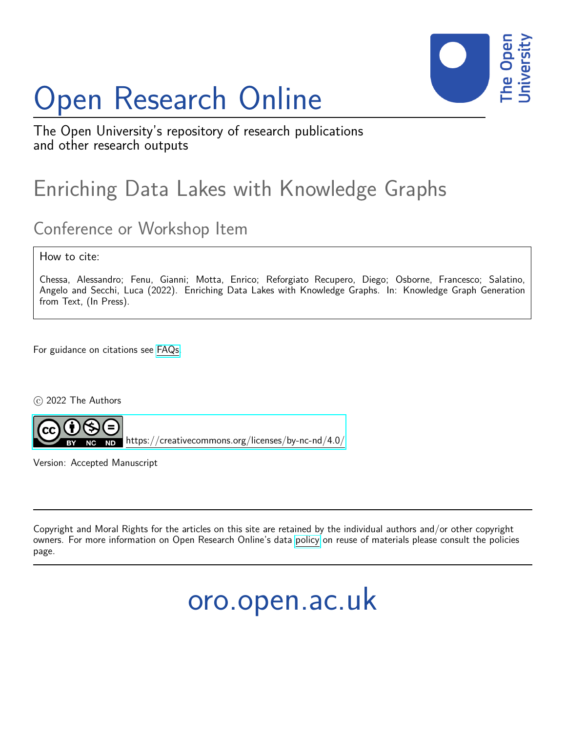# Open Research Online



The Open University's repository of research publications and other research outputs

## Enriching Data Lakes with Knowledge Graphs

### Conference or Workshop Item

How to cite:

Chessa, Alessandro; Fenu, Gianni; Motta, Enrico; Reforgiato Recupero, Diego; Osborne, Francesco; Salatino, Angelo and Secchi, Luca (2022). Enriching Data Lakes with Knowledge Graphs. In: Knowledge Graph Generation from Text, (In Press).

For guidance on citations see [FAQs.](http://oro.open.ac.uk/help/helpfaq.html)

c 2022 The Authors



<https://creativecommons.org/licenses/by-nc-nd/4.0/>

Version: Accepted Manuscript

Copyright and Moral Rights for the articles on this site are retained by the individual authors and/or other copyright owners. For more information on Open Research Online's data [policy](http://oro.open.ac.uk/policies.html) on reuse of materials please consult the policies page.

oro.open.ac.uk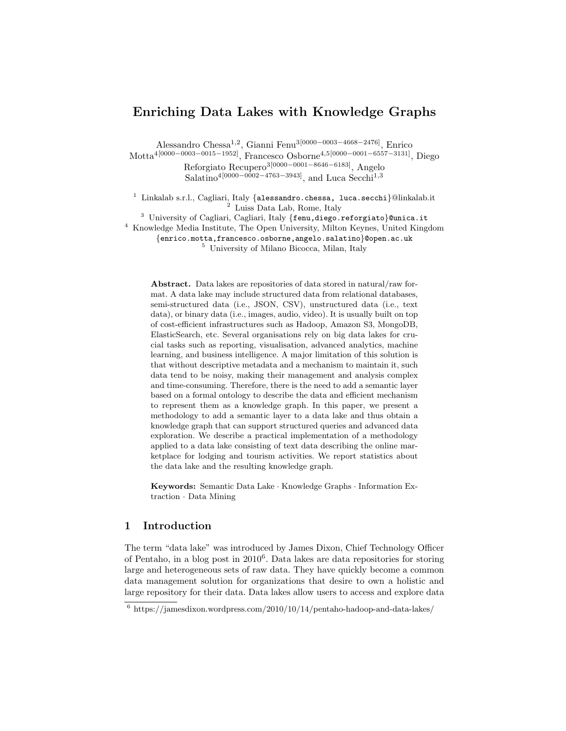#### Enriching Data Lakes with Knowledge Graphs

Alessandro Chessa1,<sup>2</sup> , Gianni Fenu3[0000−0003−4668−2476], Enrico Motta4[0000−0003−0015−1952], Francesco Osborne4,5[0000−0001−6557−3131], Diego Reforgiato Recupero3[0000−0001−8646−6183], Angelo Salatino<sup>4</sup>[0000–0002–4763–3943], and Luca Secchi<sup>1,3</sup>

<sup>1</sup> Linkalab s.r.l., Cagliari, Italy {alessandro.chessa, luca.secchi}@linkalab.it <sup>2</sup> Luiss Data Lab, Rome, Italy

 $3$  University of Cagliari, Cagliari, Italy {fenu,diego.reforgiato}@unica.it

<sup>4</sup> Knowledge Media Institute, The Open University, Milton Keynes, United Kingdom

{enrico.motta,francesco.osborne,angelo.salatino}@open.ac.uk

<sup>5</sup> University of Milano Bicocca, Milan, Italy

Abstract. Data lakes are repositories of data stored in natural/raw format. A data lake may include structured data from relational databases, semi-structured data (i.e., JSON, CSV), unstructured data (i.e., text data), or binary data (i.e., images, audio, video). It is usually built on top of cost-efficient infrastructures such as Hadoop, Amazon S3, MongoDB, ElasticSearch, etc. Several organisations rely on big data lakes for crucial tasks such as reporting, visualisation, advanced analytics, machine learning, and business intelligence. A major limitation of this solution is that without descriptive metadata and a mechanism to maintain it, such data tend to be noisy, making their management and analysis complex and time-consuming. Therefore, there is the need to add a semantic layer based on a formal ontology to describe the data and efficient mechanism to represent them as a knowledge graph. In this paper, we present a methodology to add a semantic layer to a data lake and thus obtain a knowledge graph that can support structured queries and advanced data exploration. We describe a practical implementation of a methodology applied to a data lake consisting of text data describing the online marketplace for lodging and tourism activities. We report statistics about the data lake and the resulting knowledge graph.

Keywords: Semantic Data Lake · Knowledge Graphs · Information Extraction · Data Mining

#### 1 Introduction

The term "data lake" was introduced by James Dixon, Chief Technology Officer of Pentaho, in a blog post in 2010<sup>6</sup> . Data lakes are data repositories for storing large and heterogeneous sets of raw data. They have quickly become a common data management solution for organizations that desire to own a holistic and large repository for their data. Data lakes allow users to access and explore data

 $6 \text{ https://jamesdixon.wordpress.com/2010/10/14/pentaho-hadoop-and-data-lakes/}$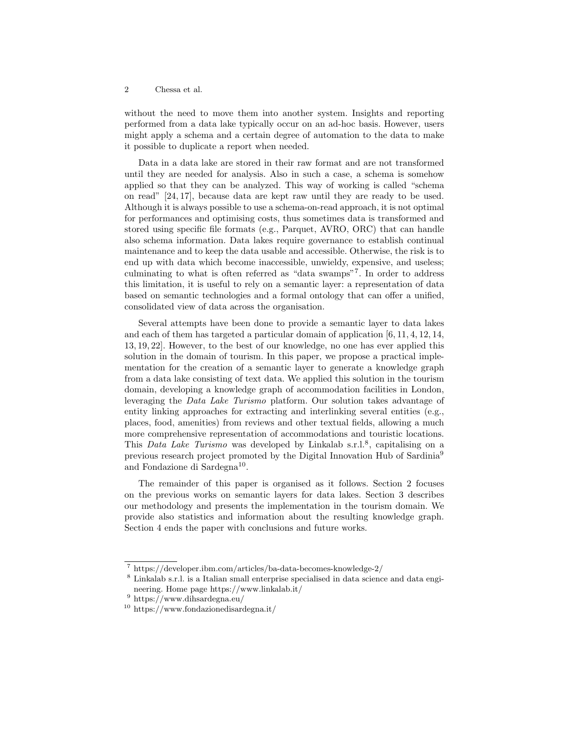without the need to move them into another system. Insights and reporting performed from a data lake typically occur on an ad-hoc basis. However, users might apply a schema and a certain degree of automation to the data to make it possible to duplicate a report when needed.

Data in a data lake are stored in their raw format and are not transformed until they are needed for analysis. Also in such a case, a schema is somehow applied so that they can be analyzed. This way of working is called "schema on read" [24, 17], because data are kept raw until they are ready to be used. Although it is always possible to use a schema-on-read approach, it is not optimal for performances and optimising costs, thus sometimes data is transformed and stored using specific file formats (e.g., Parquet, AVRO, ORC) that can handle also schema information. Data lakes require governance to establish continual maintenance and to keep the data usable and accessible. Otherwise, the risk is to end up with data which become inaccessible, unwieldy, expensive, and useless; culminating to what is often referred as "data swamps"<sup>7</sup> . In order to address this limitation, it is useful to rely on a semantic layer: a representation of data based on semantic technologies and a formal ontology that can offer a unified, consolidated view of data across the organisation.

Several attempts have been done to provide a semantic layer to data lakes and each of them has targeted a particular domain of application [6, 11, 4, 12, 14, 13, 19, 22]. However, to the best of our knowledge, no one has ever applied this solution in the domain of tourism. In this paper, we propose a practical implementation for the creation of a semantic layer to generate a knowledge graph from a data lake consisting of text data. We applied this solution in the tourism domain, developing a knowledge graph of accommodation facilities in London, leveraging the Data Lake Turismo platform. Our solution takes advantage of entity linking approaches for extracting and interlinking several entities (e.g., places, food, amenities) from reviews and other textual fields, allowing a much more comprehensive representation of accommodations and touristic locations. This Data Lake Turismo was developed by Linkalab s.r.l.<sup>8</sup>, capitalising on a previous research project promoted by the Digital Innovation Hub of Sardinia<sup>9</sup> and Fondazione di Sardegna<sup>10</sup>.

The remainder of this paper is organised as it follows. Section 2 focuses on the previous works on semantic layers for data lakes. Section 3 describes our methodology and presents the implementation in the tourism domain. We provide also statistics and information about the resulting knowledge graph. Section 4 ends the paper with conclusions and future works.

<sup>7</sup> https://developer.ibm.com/articles/ba-data-becomes-knowledge-2/

<sup>8</sup> Linkalab s.r.l. is a Italian small enterprise specialised in data science and data engineering. Home page https://www.linkalab.it/

 $^9$ https://www.dihsardegna.eu/

<sup>10</sup> https://www.fondazionedisardegna.it/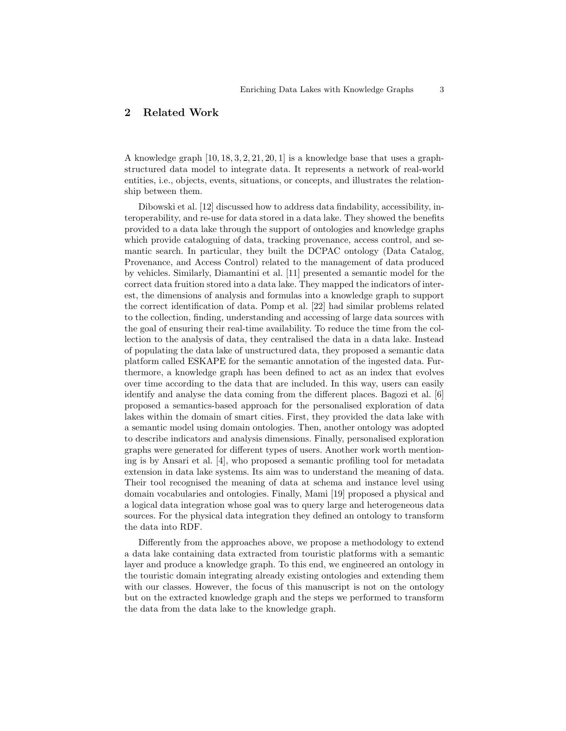#### 2 Related Work

A knowledge graph  $[10, 18, 3, 2, 21, 20, 1]$  is a knowledge base that uses a graphstructured data model to integrate data. It represents a network of real-world entities, i.e., objects, events, situations, or concepts, and illustrates the relationship between them.

Dibowski et al. [12] discussed how to address data findability, accessibility, interoperability, and re-use for data stored in a data lake. They showed the benefits provided to a data lake through the support of ontologies and knowledge graphs which provide cataloguing of data, tracking provenance, access control, and semantic search. In particular, they built the DCPAC ontology (Data Catalog, Provenance, and Access Control) related to the management of data produced by vehicles. Similarly, Diamantini et al. [11] presented a semantic model for the correct data fruition stored into a data lake. They mapped the indicators of interest, the dimensions of analysis and formulas into a knowledge graph to support the correct identification of data. Pomp et al. [22] had similar problems related to the collection, finding, understanding and accessing of large data sources with the goal of ensuring their real-time availability. To reduce the time from the collection to the analysis of data, they centralised the data in a data lake. Instead of populating the data lake of unstructured data, they proposed a semantic data platform called ESKAPE for the semantic annotation of the ingested data. Furthermore, a knowledge graph has been defined to act as an index that evolves over time according to the data that are included. In this way, users can easily identify and analyse the data coming from the different places. Bagozi et al. [6] proposed a semantics-based approach for the personalised exploration of data lakes within the domain of smart cities. First, they provided the data lake with a semantic model using domain ontologies. Then, another ontology was adopted to describe indicators and analysis dimensions. Finally, personalised exploration graphs were generated for different types of users. Another work worth mentioning is by Ansari et al. [4], who proposed a semantic profiling tool for metadata extension in data lake systems. Its aim was to understand the meaning of data. Their tool recognised the meaning of data at schema and instance level using domain vocabularies and ontologies. Finally, Mami [19] proposed a physical and a logical data integration whose goal was to query large and heterogeneous data sources. For the physical data integration they defined an ontology to transform the data into RDF.

Differently from the approaches above, we propose a methodology to extend a data lake containing data extracted from touristic platforms with a semantic layer and produce a knowledge graph. To this end, we engineered an ontology in the touristic domain integrating already existing ontologies and extending them with our classes. However, the focus of this manuscript is not on the ontology but on the extracted knowledge graph and the steps we performed to transform the data from the data lake to the knowledge graph.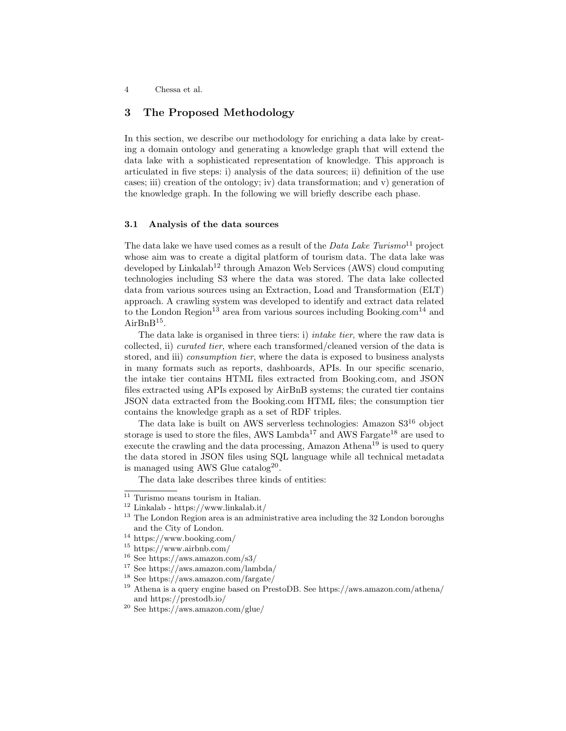#### 3 The Proposed Methodology

In this section, we describe our methodology for enriching a data lake by creating a domain ontology and generating a knowledge graph that will extend the data lake with a sophisticated representation of knowledge. This approach is articulated in five steps: i) analysis of the data sources; ii) definition of the use cases; iii) creation of the ontology; iv) data transformation; and v) generation of the knowledge graph. In the following we will briefly describe each phase.

#### 3.1 Analysis of the data sources

The data lake we have used comes as a result of the  $Data\ Lake\ Turismo^{11}$  project whose aim was to create a digital platform of tourism data. The data lake was developed by Linkalab<sup>12</sup> through Amazon Web Services (AWS) cloud computing technologies including S3 where the data was stored. The data lake collected data from various sources using an Extraction, Load and Transformation (ELT) approach. A crawling system was developed to identify and extract data related to the London Region<sup>13</sup> area from various sources including Booking.com<sup>14</sup> and  $AirBnB<sup>15</sup>$ .

The data lake is organised in three tiers: i) intake tier, where the raw data is collected, ii) curated tier, where each transformed/cleaned version of the data is stored, and iii) *consumption tier*, where the data is exposed to business analysts in many formats such as reports, dashboards, APIs. In our specific scenario, the intake tier contains HTML files extracted from Booking.com, and JSON files extracted using APIs exposed by AirBnB systems; the curated tier contains JSON data extracted from the Booking.com HTML files; the consumption tier contains the knowledge graph as a set of RDF triples.

The data lake is built on AWS serverless technologies: Amazon S3<sup>16</sup> object storage is used to store the files, AWS Lambda<sup>17</sup> and AWS Fargate<sup>18</sup> are used to execute the crawling and the data processing, Amazon Athena<sup>19</sup> is used to query the data stored in JSON files using SQL language while all technical metadata is managed using AWS Glue catalog<sup>20</sup>.

The data lake describes three kinds of entities:

 $\overline{11}$  Turismo means tourism in Italian.

 $^{12}$  Linkalab - https://www.linkalab.it/  $\,$ 

<sup>&</sup>lt;sup>13</sup> The London Region area is an administrative area including the 32 London boroughs and the City of London.

 $^{14}$ https://www.booking.com/

<sup>15</sup> https://www.airbnb.com/

<sup>16</sup> See https://aws.amazon.com/s3/

<sup>17</sup> See https://aws.amazon.com/lambda/

<sup>18</sup> See https://aws.amazon.com/fargate/

<sup>19</sup> Athena is a query engine based on PrestoDB. See https://aws.amazon.com/athena/ and https://prestodb.io/

<sup>20</sup> See https://aws.amazon.com/glue/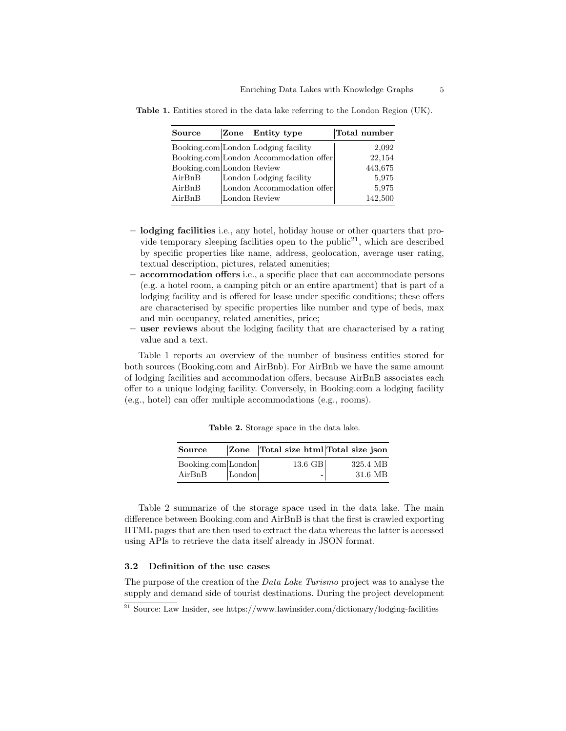| Source                    | Zone          | Entity type                            | Total number |
|---------------------------|---------------|----------------------------------------|--------------|
|                           |               | Booking.com London Lodging facility    | 2,092        |
|                           |               | Booking.com London Accommodation offer | 22,154       |
| Booking.com London Review |               |                                        | 443,675      |
| AirBnB                    |               | London Lodging facility                | 5,975        |
| AirBnB                    |               | London Accommodation offer             | 5,975        |
| AirBnB                    | London Review |                                        | 142,500      |

Table 1. Entities stored in the data lake referring to the London Region (UK).

- lodging facilities i.e., any hotel, holiday house or other quarters that provide temporary sleeping facilities open to the public<sup>21</sup>, which are described by specific properties like name, address, geolocation, average user rating, textual description, pictures, related amenities;
- accommodation offers i.e., a specific place that can accommodate persons (e.g. a hotel room, a camping pitch or an entire apartment) that is part of a lodging facility and is offered for lease under specific conditions; these offers are characterised by specific properties like number and type of beds, max and min occupancy, related amenities, price;
- user reviews about the lodging facility that are characterised by a rating value and a text.

Table 1 reports an overview of the number of business entities stored for both sources (Booking.com and AirBnb). For AirBnb we have the same amount of lodging facilities and accommodation offers, because AirBnB associates each offer to a unique lodging facility. Conversely, in Booking.com a lodging facility (e.g., hotel) can offer multiple accommodations (e.g., rooms).

| Source             |        | Zone Total size html Total size json |          |
|--------------------|--------|--------------------------------------|----------|
| Booking.com London |        | 13.6 GB                              | 325.4 MB |
| AirBnB             | London |                                      | 31.6 MB  |

Table 2. Storage space in the data lake.

Table 2 summarize of the storage space used in the data lake. The main difference between Booking.com and AirBnB is that the first is crawled exporting HTML pages that are then used to extract the data whereas the latter is accessed using APIs to retrieve the data itself already in JSON format.

#### 3.2 Definition of the use cases

The purpose of the creation of the *Data Lake Turismo* project was to analyse the supply and demand side of tourist destinations. During the project development

 $\frac{21 \text{ Source:} \text{Law}}{21 \text{ Source:} \text{Law}}$  Insider, see https://www.lawinsider.com/dictionary/lodging-facilities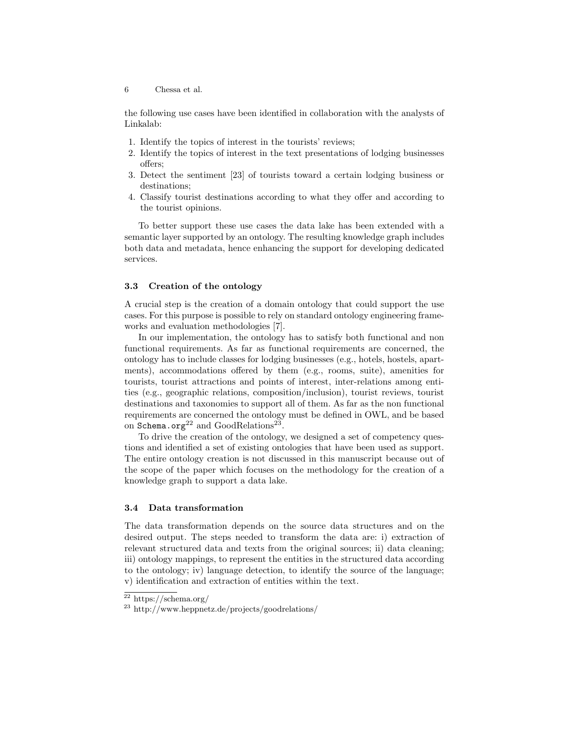the following use cases have been identified in collaboration with the analysts of Linkalab:

- 1. Identify the topics of interest in the tourists' reviews;
- 2. Identify the topics of interest in the text presentations of lodging businesses offers;
- 3. Detect the sentiment [23] of tourists toward a certain lodging business or destinations;
- 4. Classify tourist destinations according to what they offer and according to the tourist opinions.

To better support these use cases the data lake has been extended with a semantic layer supported by an ontology. The resulting knowledge graph includes both data and metadata, hence enhancing the support for developing dedicated services.

#### 3.3 Creation of the ontology

A crucial step is the creation of a domain ontology that could support the use cases. For this purpose is possible to rely on standard ontology engineering frameworks and evaluation methodologies [7].

In our implementation, the ontology has to satisfy both functional and non functional requirements. As far as functional requirements are concerned, the ontology has to include classes for lodging businesses (e.g., hotels, hostels, apartments), accommodations offered by them (e.g., rooms, suite), amenities for tourists, tourist attractions and points of interest, inter-relations among entities (e.g., geographic relations, composition/inclusion), tourist reviews, tourist destinations and taxonomies to support all of them. As far as the non functional requirements are concerned the ontology must be defined in OWL, and be based on Schema.org<sup>22</sup> and GoodRelations<sup>23</sup>.

To drive the creation of the ontology, we designed a set of competency questions and identified a set of existing ontologies that have been used as support. The entire ontology creation is not discussed in this manuscript because out of the scope of the paper which focuses on the methodology for the creation of a knowledge graph to support a data lake.

#### 3.4 Data transformation

The data transformation depends on the source data structures and on the desired output. The steps needed to transform the data are: i) extraction of relevant structured data and texts from the original sources; ii) data cleaning; iii) ontology mappings, to represent the entities in the structured data according to the ontology; iv) language detection, to identify the source of the language; v) identification and extraction of entities within the text.

<sup>22</sup> https://schema.org/

<sup>23</sup> http://www.heppnetz.de/projects/goodrelations/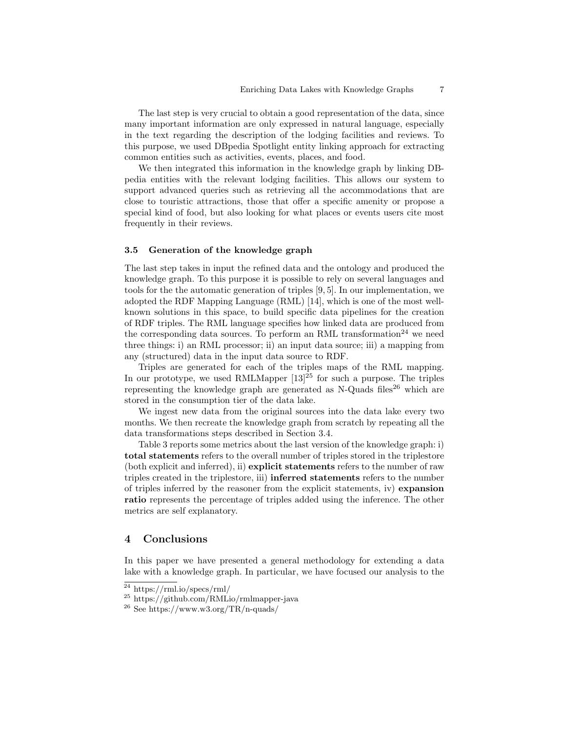The last step is very crucial to obtain a good representation of the data, since many important information are only expressed in natural language, especially in the text regarding the description of the lodging facilities and reviews. To this purpose, we used DBpedia Spotlight entity linking approach for extracting common entities such as activities, events, places, and food.

We then integrated this information in the knowledge graph by linking DBpedia entities with the relevant lodging facilities. This allows our system to support advanced queries such as retrieving all the accommodations that are close to touristic attractions, those that offer a specific amenity or propose a special kind of food, but also looking for what places or events users cite most frequently in their reviews.

#### 3.5 Generation of the knowledge graph

The last step takes in input the refined data and the ontology and produced the knowledge graph. To this purpose it is possible to rely on several languages and tools for the the automatic generation of triples [9, 5]. In our implementation, we adopted the RDF Mapping Language (RML) [14], which is one of the most wellknown solutions in this space, to build specific data pipelines for the creation of RDF triples. The RML language specifies how linked data are produced from the corresponding data sources. To perform an RML transformation<sup>24</sup> we need three things: i) an RML processor; ii) an input data source; iii) a mapping from any (structured) data in the input data source to RDF.

Triples are generated for each of the triples maps of the RML mapping. In our prototype, we used RMLMapper  $[13]^{25}$  for such a purpose. The triples representing the knowledge graph are generated as  $N-Qu$ ads files<sup>26</sup> which are stored in the consumption tier of the data lake.

We ingest new data from the original sources into the data lake every two months. We then recreate the knowledge graph from scratch by repeating all the data transformations steps described in Section 3.4.

Table 3 reports some metrics about the last version of the knowledge graph: i) total statements refers to the overall number of triples stored in the triplestore (both explicit and inferred), ii) explicit statements refers to the number of raw triples created in the triplestore, iii) inferred statements refers to the number of triples inferred by the reasoner from the explicit statements, iv) expansion ratio represents the percentage of triples added using the inference. The other metrics are self explanatory.

#### 4 Conclusions

In this paper we have presented a general methodology for extending a data lake with a knowledge graph. In particular, we have focused our analysis to the

<sup>24</sup> https://rml.io/specs/rml/

<sup>25</sup> https://github.com/RMLio/rmlmapper-java

 $^{26}$  See https://www.w3.org/TR/n-quads/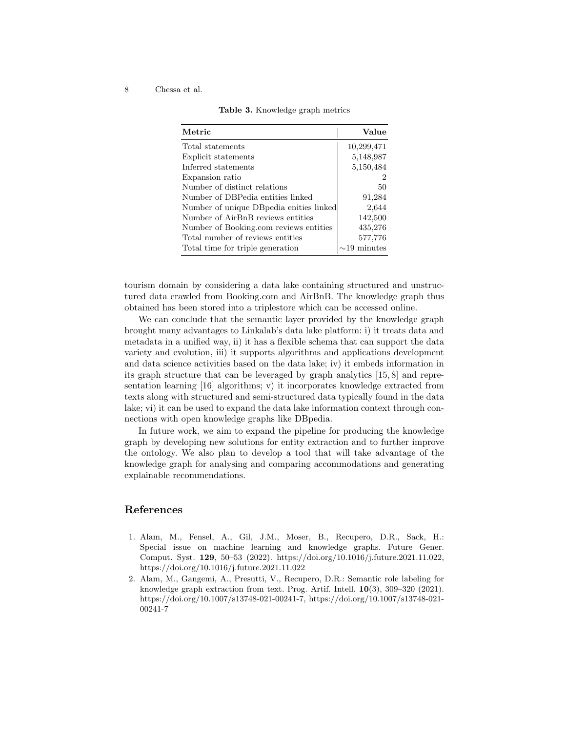|  | Table 3. Knowledge graph metrics |  |  |
|--|----------------------------------|--|--|
|--|----------------------------------|--|--|

| Value                |
|----------------------|
| 10,299,471           |
| 5,148,987            |
| 5,150,484            |
| 2                    |
| 50                   |
| 91,284               |
| 2,644                |
| 142,500              |
| 435,276              |
| 577,776              |
| minutes<br>$\sim$ 19 |
|                      |

tourism domain by considering a data lake containing structured and unstructured data crawled from Booking.com and AirBnB. The knowledge graph thus obtained has been stored into a triplestore which can be accessed online.

We can conclude that the semantic layer provided by the knowledge graph brought many advantages to Linkalab's data lake platform: i) it treats data and metadata in a unified way, ii) it has a flexible schema that can support the data variety and evolution, iii) it supports algorithms and applications development and data science activities based on the data lake; iv) it embeds information in its graph structure that can be leveraged by graph analytics [15, 8] and representation learning [16] algorithms; v) it incorporates knowledge extracted from texts along with structured and semi-structured data typically found in the data lake; vi) it can be used to expand the data lake information context through connections with open knowledge graphs like DBpedia.

In future work, we aim to expand the pipeline for producing the knowledge graph by developing new solutions for entity extraction and to further improve the ontology. We also plan to develop a tool that will take advantage of the knowledge graph for analysing and comparing accommodations and generating explainable recommendations.

#### References

- 1. Alam, M., Fensel, A., Gil, J.M., Moser, B., Recupero, D.R., Sack, H.: Special issue on machine learning and knowledge graphs. Future Gener. Comput. Syst. 129, 50–53 (2022). https://doi.org/10.1016/j.future.2021.11.022, https://doi.org/10.1016/j.future.2021.11.022
- 2. Alam, M., Gangemi, A., Presutti, V., Recupero, D.R.: Semantic role labeling for knowledge graph extraction from text. Prog. Artif. Intell. 10(3), 309–320 (2021). https://doi.org/10.1007/s13748-021-00241-7, https://doi.org/10.1007/s13748-021- 00241-7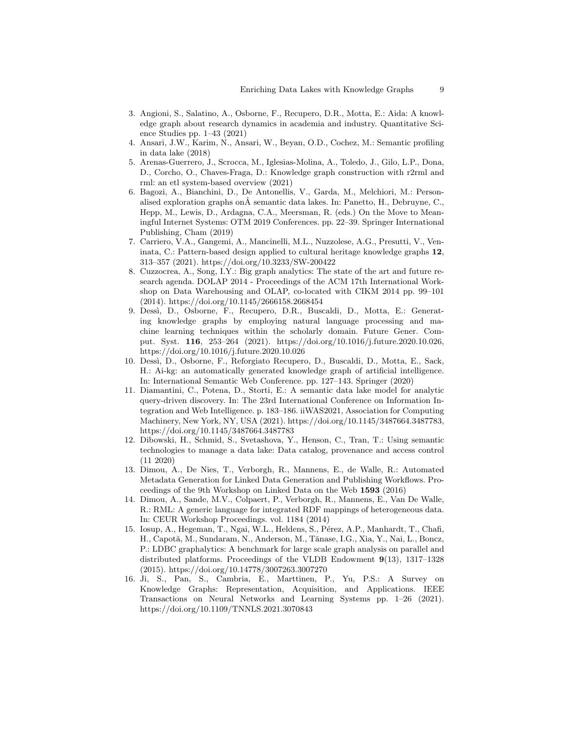- 3. Angioni, S., Salatino, A., Osborne, F., Recupero, D.R., Motta, E.: Aida: A knowledge graph about research dynamics in academia and industry. Quantitative Science Studies pp. 1–43 (2021)
- 4. Ansari, J.W., Karim, N., Ansari, W., Beyan, O.D., Cochez, M.: Semantic profiling in data lake (2018)
- 5. Arenas-Guerrero, J., Scrocca, M., Iglesias-Molina, A., Toledo, J., Gilo, L.P., Dona, D., Corcho, O., Chaves-Fraga, D.: Knowledge graph construction with r2rml and rml: an etl system-based overview (2021)
- 6. Bagozi, A., Bianchini, D., De Antonellis, V., Garda, M., Melchiori, M.: Personalised exploration graphs on $\hat{A}$  semantic data lakes. In: Panetto, H., Debruyne, C., Hepp, M., Lewis, D., Ardagna, C.A., Meersman, R. (eds.) On the Move to Meaningful Internet Systems: OTM 2019 Conferences. pp. 22–39. Springer International Publishing, Cham (2019)
- 7. Carriero, V.A., Gangemi, A., Mancinelli, M.L., Nuzzolese, A.G., Presutti, V., Veninata, C.: Pattern-based design applied to cultural heritage knowledge graphs 12, 313–357 (2021). https://doi.org/10.3233/SW-200422
- 8. Cuzzocrea, A., Song, I.Y.: Big graph analytics: The state of the art and future research agenda. DOLAP 2014 - Proceedings of the ACM 17th International Workshop on Data Warehousing and OLAP, co-located with CIKM 2014 pp. 99–101 (2014). https://doi.org/10.1145/2666158.2668454
- 9. Dess`ı, D., Osborne, F., Recupero, D.R., Buscaldi, D., Motta, E.: Generating knowledge graphs by employing natural language processing and machine learning techniques within the scholarly domain. Future Gener. Comput. Syst. 116, 253–264 (2021). https://doi.org/10.1016/j.future.2020.10.026, https://doi.org/10.1016/j.future.2020.10.026
- 10. Dess`ı, D., Osborne, F., Reforgiato Recupero, D., Buscaldi, D., Motta, E., Sack, H.: Ai-kg: an automatically generated knowledge graph of artificial intelligence. In: International Semantic Web Conference. pp. 127–143. Springer (2020)
- 11. Diamantini, C., Potena, D., Storti, E.: A semantic data lake model for analytic query-driven discovery. In: The 23rd International Conference on Information Integration and Web Intelligence. p. 183–186. iiWAS2021, Association for Computing Machinery, New York, NY, USA (2021). https://doi.org/10.1145/3487664.3487783, https://doi.org/10.1145/3487664.3487783
- 12. Dibowski, H., Schmid, S., Svetashova, Y., Henson, C., Tran, T.: Using semantic technologies to manage a data lake: Data catalog, provenance and access control (11 2020)
- 13. Dimou, A., De Nies, T., Verborgh, R., Mannens, E., de Walle, R.: Automated Metadata Generation for Linked Data Generation and Publishing Workflows. Proceedings of the 9th Workshop on Linked Data on the Web 1593 (2016)
- 14. Dimou, A., Sande, M.V., Colpaert, P., Verborgh, R., Mannens, E., Van De Walle, R.: RML: A generic language for integrated RDF mappings of heterogeneous data. In: CEUR Workshop Proceedings. vol. 1184 (2014)
- 15. Iosup, A., Hegeman, T., Ngai, W.L., Heldens, S., Pérez, A.P., Manhardt, T., Chafi, H., Capotă, M., Sundaram, N., Anderson, M., Tănase, I.G., Xia, Y., Nai, L., Boncz, P.: LDBC graphalytics: A benchmark for large scale graph analysis on parallel and distributed platforms. Proceedings of the VLDB Endowment 9(13), 1317–1328 (2015). https://doi.org/10.14778/3007263.3007270
- 16. Ji, S., Pan, S., Cambria, E., Marttinen, P., Yu, P.S.: A Survey on Knowledge Graphs: Representation, Acquisition, and Applications. IEEE Transactions on Neural Networks and Learning Systems pp. 1–26 (2021). https://doi.org/10.1109/TNNLS.2021.3070843